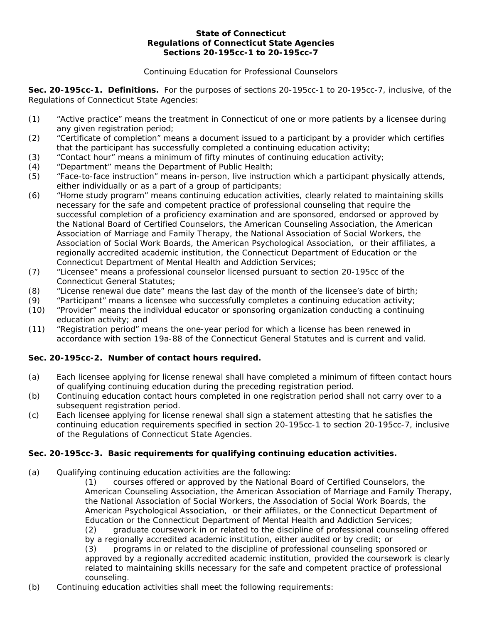#### **State of Connecticut Regulations of Connecticut State Agencies Sections 20-195cc-1 to 20-195cc-7**

### Continuing Education for Professional Counselors

**Sec. 20-195cc-1. Definitions.** For the purposes of sections 20-195cc-1 to 20-195cc-7, inclusive, of the Regulations of Connecticut State Agencies:

- (1) "Active practice" means the treatment in Connecticut of one or more patients by a licensee during any given registration period;
- (2) "Certificate of completion" means a document issued to a participant by a provider which certifies that the participant has successfully completed a continuing education activity;
- (3) "Contact hour" means a minimum of fifty minutes of continuing education activity;
- (4) "Department" means the Department of Public Health;
- (5) "Face-to-face instruction" means in-person, live instruction which a participant physically attends, either individually or as a part of a group of participants;
- (6) "Home study program" means continuing education activities, clearly related to maintaining skills necessary for the safe and competent practice of professional counseling that require the successful completion of a proficiency examination and are sponsored, endorsed or approved by the National Board of Certified Counselors, the American Counseling Association, the American Association of Marriage and Family Therapy, the National Association of Social Workers, the Association of Social Work Boards, the American Psychological Association, or their affiliates, a regionally accredited academic institution, the Connecticut Department of Education or the Connecticut Department of Mental Health and Addiction Services;
- (7) "Licensee" means a professional counselor licensed pursuant to section 20-195cc of the Connecticut General Statutes;
- (8) "License renewal due date" means the last day of the month of the licensee's date of birth;
- (9) "Participant" means a licensee who successfully completes a continuing education activity;
- (10) "Provider" means the individual educator or sponsoring organization conducting a continuing education activity; and
- (11) "Registration period" means the one-year period for which a license has been renewed in accordance with section 19a-88 of the Connecticut General Statutes and is current and valid.

# **Sec. 20-195cc-2. Number of contact hours required.**

- (a) Each licensee applying for license renewal shall have completed a minimum of fifteen contact hours of qualifying continuing education during the preceding registration period.
- (b) Continuing education contact hours completed in one registration period shall not carry over to a subsequent registration period.
- (c) Each licensee applying for license renewal shall sign a statement attesting that he satisfies the continuing education requirements specified in section 20-195cc-1 to section 20-195cc-7, inclusive of the Regulations of Connecticut State Agencies.

### **Sec. 20-195cc-3. Basic requirements for qualifying continuing education activities.**

(a) Qualifying continuing education activities are the following:

(1) courses offered or approved by the National Board of Certified Counselors, the American Counseling Association, the American Association of Marriage and Family Therapy, the National Association of Social Workers, the Association of Social Work Boards, the American Psychological Association, or their affiliates, or the Connecticut Department of Education or the Connecticut Department of Mental Health and Addiction Services; (2) graduate coursework in or related to the discipline of professional counseling offered by a regionally accredited academic institution, either audited or by credit; or (3) programs in or related to the discipline of professional counseling sponsored or approved by a regionally accredited academic institution, provided the coursework is clearly related to maintaining skills necessary for the safe and competent practice of professional

counseling. (b) Continuing education activities shall meet the following requirements: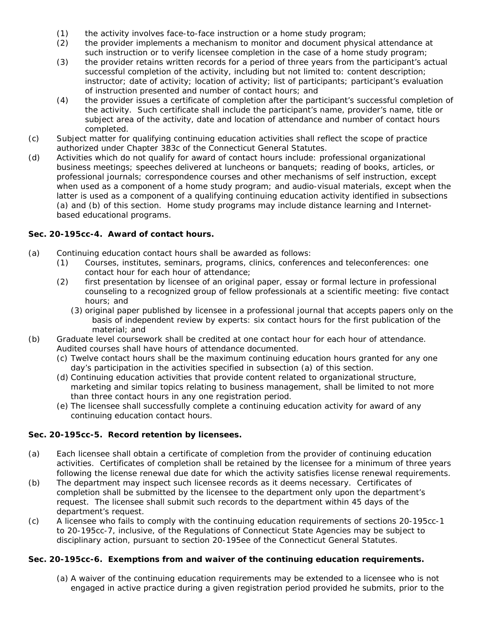- (1) the activity involves face-to-face instruction or a home study program;
- (2) the provider implements a mechanism to monitor and document physical attendance at such instruction or to verify licensee completion in the case of a home study program;
- (3) the provider retains written records for a period of three years from the participant's actual successful completion of the activity, including but not limited to: content description; instructor; date of activity; location of activity; list of participants; participant's evaluation of instruction presented and number of contact hours; and
- (4) the provider issues a certificate of completion after the participant's successful completion of the activity. Such certificate shall include the participant's name, provider's name, title or subject area of the activity, date and location of attendance and number of contact hours completed.
- (c) Subject matter for qualifying continuing education activities shall reflect the scope of practice authorized under Chapter 383c of the Connecticut General Statutes.
- (d) Activities which do not qualify for award of contact hours include: professional organizational business meetings; speeches delivered at luncheons or banquets; reading of books, articles, or professional journals; correspondence courses and other mechanisms of self instruction, except when used as a component of a home study program; and audio-visual materials, except when the latter is used as a component of a qualifying continuing education activity identified in subsections (a) and (b) of this section. Home study programs may include distance learning and Internetbased educational programs.

# **Sec. 20-195cc-4. Award of contact hours.**

- (a) Continuing education contact hours shall be awarded as follows:
	- (1) Courses, institutes, seminars, programs, clinics, conferences and teleconferences: one contact hour for each hour of attendance;
	- (2) first presentation by licensee of an original paper, essay or formal lecture in professional counseling to a recognized group of fellow professionals at a scientific meeting: five contact hours; and
		- (3) original paper published by licensee in a professional journal that accepts papers only on the basis of independent review by experts: six contact hours for the first publication of the material; and
- (b) Graduate level coursework shall be credited at one contact hour for each hour of attendance. Audited courses shall have hours of attendance documented.
	- (c) Twelve contact hours shall be the maximum continuing education hours granted for any one day's participation in the activities specified in subsection (a) of this section.
	- (d) Continuing education activities that provide content related to organizational structure, marketing and similar topics relating to business management, shall be limited to not more than three contact hours in any one registration period.
	- (e) The licensee shall successfully complete a continuing education activity for award of any continuing education contact hours.

# **Sec. 20-195cc-5. Record retention by licensees.**

- (a) Each licensee shall obtain a certificate of completion from the provider of continuing education activities. Certificates of completion shall be retained by the licensee for a minimum of three years following the license renewal due date for which the activity satisfies license renewal requirements.
- (b) The department may inspect such licensee records as it deems necessary. Certificates of completion shall be submitted by the licensee to the department only upon the department's request. The licensee shall submit such records to the department within 45 days of the department's request.
- (c) A licensee who fails to comply with the continuing education requirements of sections 20-195cc-1 to 20-195cc-7, inclusive, of the Regulations of Connecticut State Agencies may be subject to disciplinary action, pursuant to section 20-195ee of the Connecticut General Statutes.

### **Sec. 20-195cc-6. Exemptions from and waiver of the continuing education requirements.**

(a) A waiver of the continuing education requirements may be extended to a licensee who is not engaged in active practice during a given registration period provided he submits, prior to the